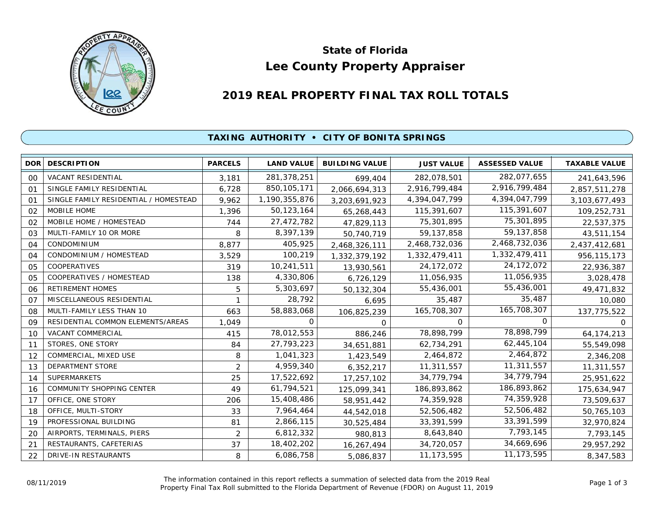

# **Lee County Property Appraiser State of Florida**

# **2019 REAL PROPERTY FINAL TAX ROLL TOTALS**

## **TAXING AUTHORITY • CITY OF BONITA SPRINGS**

| DOR <sup>1</sup> | <b>DESCRIPTION</b>                    | <b>PARCELS</b> | <b>LAND VALUE</b> | <b>BUILDING VALUE</b> | <b>JUST VALUE</b> | <b>ASSESSED VALUE</b> | <b>TAXABLE VALUE</b> |
|------------------|---------------------------------------|----------------|-------------------|-----------------------|-------------------|-----------------------|----------------------|
| 00               | VACANT RESIDENTIAL                    | 3.181          | 281,378,251       | 699,404               | 282,078,501       | 282,077,655           | 241,643,596          |
| O <sub>1</sub>   | SINGLE FAMILY RESIDENTIAL             | 6,728          | 850, 105, 171     | 2,066,694,313         | 2,916,799,484     | 2,916,799,484         | 2,857,511,278        |
| 01               | SINGLE FAMILY RESIDENTIAL / HOMESTEAD | 9,962          | 1,190,355,876     | 3,203,691,923         | 4,394,047,799     | 4,394,047,799         | 3,103,677,493        |
| 02               | MOBILE HOME                           | 1,396          | 50,123,164        | 65,268,443            | 115,391,607       | 115,391,607           | 109,252,731          |
| 02               | MOBILE HOME / HOMESTEAD               | 744            | 27,472,782        | 47,829,113            | 75,301,895        | 75,301,895            | 22,537,375           |
| 03               | MULTI-FAMILY 10 OR MORE               | 8              | 8,397,139         | 50,740,719            | 59, 137, 858      | 59, 137, 858          | 43,511,154           |
| 04               | <b>CONDOMINIUM</b>                    | 8,877          | 405,925           | 2,468,326,111         | 2,468,732,036     | 2,468,732,036         | 2,437,412,681        |
| 04               | CONDOMINIUM / HOMESTEAD               | 3,529          | 100,219           | 1,332,379,192         | 1,332,479,411     | 1,332,479,411         | 956, 115, 173        |
| 05               | COOPERATIVES                          | 319            | 10,241,511        | 13,930,561            | 24, 172, 072      | 24, 172, 072          | 22,936,387           |
| 05               | COOPERATIVES / HOMESTEAD              | 138            | 4,330,806         | 6,726,129             | 11,056,935        | 11,056,935            | 3,028,478            |
| 06               | <b>RETIREMENT HOMES</b>               | 5              | 5,303,697         | 50,132,304            | 55,436,001        | 55,436,001            | 49,471,832           |
| O <sub>7</sub>   | MISCELLANEOUS RESIDENTIAL             |                | 28,792            | 6,695                 | 35,487            | 35,487                | 10,080               |
| 08               | MULTI-FAMILY LESS THAN 10             | 663            | 58,883,068        | 106,825,239           | 165,708,307       | 165,708,307           | 137,775,522          |
| 09               | RESIDENTIAL COMMON ELEMENTS/AREAS     | 1,049          | 0                 | $\Omega$              | 0                 | 0                     | <sup>o</sup>         |
| 10               | VACANT COMMERCIAL                     | 415            | 78,012,553        | 886,246               | 78,898,799        | 78,898,799            | 64, 174, 213         |
| 11               | STORES, ONE STORY                     | 84             | 27,793,223        | 34,651,881            | 62,734,291        | 62,445,104            | 55,549,098           |
| 12               | COMMERCIAL, MIXED USE                 | 8              | 1,041,323         | 1,423,549             | 2,464,872         | 2,464,872             | 2,346,208            |
| 13               | DEPARTMENT STORE                      | $\overline{2}$ | 4,959,340         | 6,352,217             | 11,311,557        | 11,311,557            | 11,311,557           |
| 14               | <b>SUPERMARKETS</b>                   | 25             | 17,522,692        | 17,257,102            | 34,779,794        | 34,779,794            | 25,951,622           |
| 16               | <b>COMMUNITY SHOPPING CENTER</b>      | 49             | 61,794,521        | 125,099,341           | 186,893,862       | 186,893,862           | 175,634,947          |
| 17               | OFFICE, ONE STORY                     | 206            | 15,408,486        | 58,951,442            | 74,359,928        | 74,359,928            | 73,509,637           |
| 18               | OFFICE, MULTI-STORY                   | 33             | 7,964,464         | 44,542,018            | 52,506,482        | 52,506,482            | 50,765,103           |
| 19               | PROFESSIONAL BUILDING                 | 81             | 2,866,115         | 30,525,484            | 33,391,599        | 33,391,599            | 32,970,824           |
| 20               | AIRPORTS, TERMINALS, PIERS            | $\overline{2}$ | 6,812,332         | 980,813               | 8,643,840         | 7,793,145             | 7,793,145            |
| 21               | RESTAURANTS, CAFETERIAS               | 37             | 18,402,202        | 16,267,494            | 34,720,057        | 34,669,696            | 29,957,292           |
| 22               | DRIVE-IN RESTAURANTS                  | 8              | 6,086,758         | 5,086,837             | 11, 173, 595      | 11,173,595            | 8,347,583            |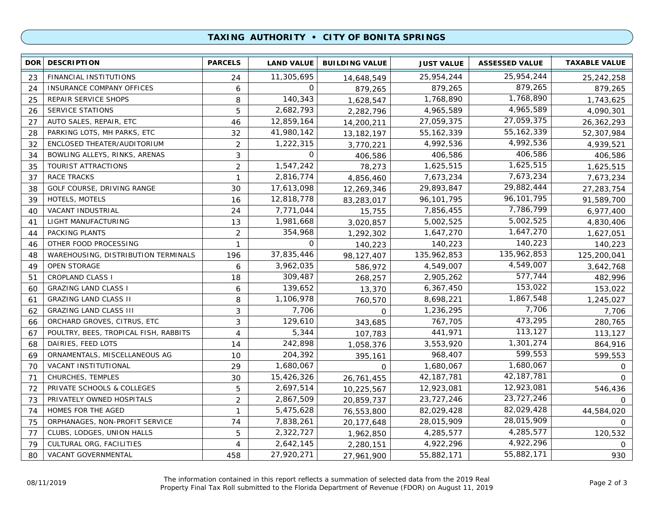### **TAXING AUTHORITY • CITY OF BONITA SPRINGS**

| <b>DOR</b> | <b>DESCRIPTION</b>                    | <b>PARCELS</b> | <b>LAND VALUE</b> | <b>BUILDING VALUE</b> | <b>JUST VALUE</b> | <b>ASSESSED VALUE</b> | <b>TAXABLE VALUE</b> |
|------------|---------------------------------------|----------------|-------------------|-----------------------|-------------------|-----------------------|----------------------|
| 23         | FINANCIAL INSTITUTIONS                | 24             | 11,305,695        | 14,648,549            | 25,954,244        | 25,954,244            | 25,242,258           |
| 24         | INSURANCE COMPANY OFFICES             | 6              | 0                 | 879,265               | 879,265           | 879,265               | 879,265              |
| 25         | REPAIR SERVICE SHOPS                  | 8              | 140,343           | 1,628,547             | 1,768,890         | 1,768,890             | 1,743,625            |
| 26         | <b>SERVICE STATIONS</b>               | 5              | 2,682,793         | 2,282,796             | 4,965,589         | 4,965,589             | 4,090,301            |
| 27         | AUTO SALES, REPAIR, ETC               | 46             | 12,859,164        | 14,200,211            | 27,059,375        | 27,059,375            | 26,362,293           |
| 28         | PARKING LOTS, MH PARKS, ETC           | 32             | 41,980,142        | 13, 182, 197          | 55, 162, 339      | 55, 162, 339          | 52,307,984           |
| 32         | ENCLOSED THEATER/AUDITORIUM           | $\overline{2}$ | 1,222,315         | 3,770,221             | 4,992,536         | 4,992,536             | 4,939,521            |
| 34         | BOWLING ALLEYS, RINKS, ARENAS         | 3              | 0                 | 406,586               | 406,586           | 406,586               | 406,586              |
| 35         | TOURIST ATTRACTIONS                   | 2              | 1,547,242         | 78,273                | 1,625,515         | 1,625,515             | 1,625,515            |
| 37         | <b>RACE TRACKS</b>                    | $\mathbf{1}$   | 2,816,774         | 4,856,460             | 7,673,234         | 7,673,234             | 7,673,234            |
| 38         | GOLF COURSE, DRIVING RANGE            | 30             | 17,613,098        | 12,269,346            | 29,893,847        | 29,882,444            | 27,283,754           |
| 39         | HOTELS, MOTELS                        | 16             | 12,818,778        | 83,283,017            | 96,101,795        | 96,101,795            | 91,589,700           |
| 40         | VACANT INDUSTRIAL                     | 24             | 7,771,044         | 15,755                | 7,856,455         | 7,786,799             | 6,977,400            |
| 41         | LIGHT MANUFACTURING                   | 13             | 1,981,668         | 3,020,857             | 5,002,525         | 5,002,525             | 4,830,406            |
| 44         | PACKING PLANTS                        | $\overline{2}$ | 354,968           | 1,292,302             | 1,647,270         | 1,647,270             | 1,627,051            |
| 46         | OTHER FOOD PROCESSING                 | $\mathbf{1}$   | $\Omega$          | 140,223               | 140,223           | 140,223               | 140,223              |
| 48         | WAREHOUSING, DISTRIBUTION TERMINALS   | 196            | 37,835,446        | 98,127,407            | 135,962,853       | 135,962,853           | 125,200,041          |
| 49         | <b>OPEN STORAGE</b>                   | 6              | 3,962,035         | 586,972               | 4,549,007         | 4,549,007             | 3,642,768            |
| 51         | <b>CROPLAND CLASS I</b>               | 18             | 309,487           | 268,257               | 2,905,262         | 577,744               | 482,996              |
| 60         | <b>GRAZING LAND CLASS I</b>           | 6              | 139,652           | 13,370                | 6,367,450         | 153,022               | 153,022              |
| 61         | <b>GRAZING LAND CLASS II</b>          | 8              | 1,106,978         | 760,570               | 8,698,221         | 1,867,548             | 1,245,027            |
| 62         | <b>GRAZING LAND CLASS III</b>         | 3              | 7,706             | $\Omega$              | 1,236,295         | 7,706                 | 7,706                |
| 66         | ORCHARD GROVES, CITRUS, ETC           | 3              | 129,610           | 343,685               | 767,705           | 473,295               | 280,765              |
| 67         | POULTRY, BEES, TROPICAL FISH, RABBITS | 4              | 5,344             | 107,783               | 441,971           | 113,127               | 113,127              |
| 68         | DAIRIES, FEED LOTS                    | 14             | 242,898           | 1,058,376             | 3,553,920         | 1,301,274             | 864,916              |
| 69         | ORNAMENTALS, MISCELLANEOUS AG         | 10             | 204,392           | 395,161               | 968,407           | 599,553               | 599,553              |
| 70         | VACANT INSTITUTIONAL                  | 29             | 1,680,067         | $\Omega$              | 1,680,067         | 1,680,067             | $\Omega$             |
| 71         | CHURCHES, TEMPLES                     | 30             | 15,426,326        | 26,761,455            | 42, 187, 781      | 42, 187, 781          | $\Omega$             |
| 72         | PRIVATE SCHOOLS & COLLEGES            | 5              | 2,697,514         | 10,225,567            | 12,923,081        | 12,923,081            | 546,436              |
| 73         | PRIVATELY OWNED HOSPITALS             | $\overline{2}$ | 2,867,509         | 20,859,737            | 23,727,246        | 23,727,246            | $\Omega$             |
| 74         | HOMES FOR THE AGED                    | $\mathbf{1}$   | 5,475,628         | 76,553,800            | 82,029,428        | 82,029,428            | 44,584,020           |
| 75         | ORPHANAGES, NON-PROFIT SERVICE        | 74             | 7,838,261         | 20,177,648            | 28,015,909        | 28,015,909            | $\Omega$             |
| 77         | CLUBS, LODGES, UNION HALLS            | 5              | 2,322,727         | 1,962,850             | 4,285,577         | 4,285,577             | 120,532              |
| 79         | CULTURAL ORG, FACILITIES              | 4              | 2,642,145         | 2,280,151             | 4,922,296         | 4,922,296             | 0                    |
| 80         | VACANT GOVERNMENTAL                   | 458            | 27,920,271        | 27,961,900            | 55,882,171        | 55,882,171            | 930                  |